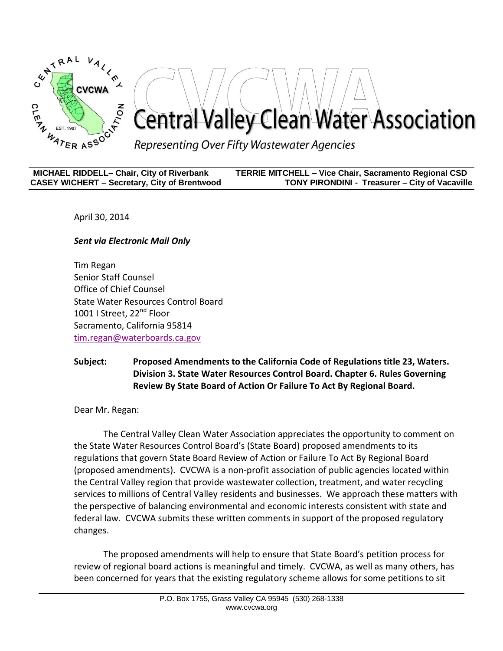

| <b>MICHAEL RIDDELL- Chair, City of Riverbank</b>    | TERRIE MITCHELL - Vice Chair, Sacramento Regional CSD |
|-----------------------------------------------------|-------------------------------------------------------|
| <b>CASEY WICHERT - Secretary, City of Brentwood</b> | <b>TONY PIRONDINI - Treasurer – City of Vacaville</b> |

April 30, 2014

*Sent via Electronic Mail Only*

Tim Regan Senior Staff Counsel Office of Chief Counsel State Water Resources Control Board 1001 | Street, 22<sup>nd</sup> Floor Sacramento, California 95814 [tim.regan@waterboards.ca.gov](mailto:tim.regan@waterboards.ca.gov)

## **Subject: Proposed Amendments to the California Code of Regulations title 23, Waters. Division 3. State Water Resources Control Board. Chapter 6. Rules Governing Review By State Board of Action Or Failure To Act By Regional Board.**

Dear Mr. Regan:

The Central Valley Clean Water Association appreciates the opportunity to comment on the State Water Resources Control Board's (State Board) proposed amendments to its regulations that govern State Board Review of Action or Failure To Act By Regional Board (proposed amendments). CVCWA is a non-profit association of public agencies located within the Central Valley region that provide wastewater collection, treatment, and water recycling services to millions of Central Valley residents and businesses. We approach these matters with the perspective of balancing environmental and economic interests consistent with state and federal law. CVCWA submits these written comments in support of the proposed regulatory changes.

The proposed amendments will help to ensure that State Board's petition process for review of regional board actions is meaningful and timely. CVCWA, as well as many others, has been concerned for years that the existing regulatory scheme allows for some petitions to sit